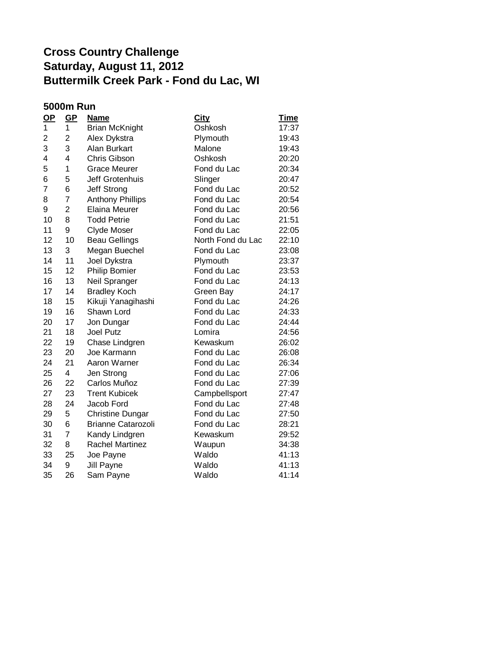| <b>5000m Run</b> |                |                           |                   |             |
|------------------|----------------|---------------------------|-------------------|-------------|
| $\mathbf{Q}$     | GP             | <b>Name</b>               | <b>City</b>       | <u>Time</u> |
| 1                | 1              | <b>Brian McKnight</b>     | Oshkosh           | 17:37       |
| $\overline{2}$   | $\overline{2}$ | Alex Dykstra              | Plymouth          | 19:43       |
| 3                | 3              | Alan Burkart              | Malone            | 19:43       |
| 4                | 4              | Chris Gibson              | Oshkosh           | 20:20       |
| 5                | 1              | <b>Grace Meurer</b>       | Fond du Lac       | 20:34       |
| 6                | 5              | Jeff Grotenhuis           | Slinger           | 20:47       |
| $\overline{7}$   | 6              | Jeff Strong               | Fond du Lac       | 20:52       |
| 8                | $\overline{7}$ | <b>Anthony Phillips</b>   | Fond du Lac       | 20:54       |
| 9                | $\overline{2}$ | <b>Elaina Meurer</b>      | Fond du Lac       | 20:56       |
| 10               | 8              | <b>Todd Petrie</b>        | Fond du Lac       | 21:51       |
| 11               | 9              | Clyde Moser               | Fond du Lac       | 22:05       |
| 12               | 10             | <b>Beau Gellings</b>      | North Fond du Lac | 22:10       |
| 13               | 3              | Megan Buechel             | Fond du Lac       | 23:08       |
| 14               | 11             | Joel Dykstra              | Plymouth          | 23:37       |
| 15               | 12             | <b>Philip Bomier</b>      | Fond du Lac       | 23:53       |
| 16               | 13             | Neil Spranger             | Fond du Lac       | 24:13       |
| 17               | 14             | <b>Bradley Koch</b>       | Green Bay         | 24:17       |
| 18               | 15             | Kikuji Yanagihashi        | Fond du Lac       | 24:26       |
| 19               | 16             | Shawn Lord                | Fond du Lac       | 24:33       |
| 20               | 17             | Jon Dungar                | Fond du Lac       | 24:44       |
| 21               | 18             | <b>Joel Putz</b>          | Lomira            | 24:56       |
| 22               | 19             | Chase Lindgren            | Kewaskum          | 26:02       |
| 23               | 20             | Joe Karmann               | Fond du Lac       | 26:08       |
| 24               | 21             | Aaron Warner              | Fond du Lac       | 26:34       |
| 25               | 4              | Jen Strong                | Fond du Lac       | 27:06       |
| 26               | 22             | Carlos Muñoz              | Fond du Lac       | 27:39       |
| 27               | 23             | <b>Trent Kubicek</b>      | Campbellsport     | 27:47       |
| 28               | 24             | Jacob Ford                | Fond du Lac       | 27:48       |
| 29               | 5              | <b>Christine Dungar</b>   | Fond du Lac       | 27:50       |
| 30               | 6              | <b>Brianne Catarozoli</b> | Fond du Lac       | 28:21       |
| 31               | $\overline{7}$ | Kandy Lindgren            | Kewaskum          | 29:52       |
| 32               | 8              | <b>Rachel Martinez</b>    | Waupun            | 34:38       |
| 33               | 25             | Joe Payne                 | Waldo             | 41:13       |
| 34               | 9              | Jill Payne                | Waldo             | 41:13       |
| 35               | 26             | Sam Payne                 | Waldo             | 41:14       |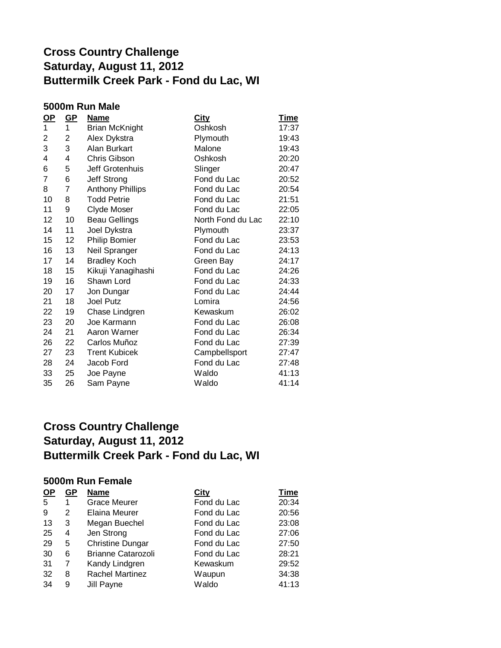### **5000m Run Male**

| <u>OP</u>      | <u>GP</u> | <b>Name</b>             | <b>City</b>       | <b>Time</b> |
|----------------|-----------|-------------------------|-------------------|-------------|
| 1              | 1         | <b>Brian McKnight</b>   | Oshkosh           | 17:37       |
| 2              | 2         | Alex Dykstra            | Plymouth          | 19:43       |
| 3              | 3         | Alan Burkart            | Malone            | 19:43       |
| 4              | 4         | Chris Gibson            | Oshkosh           | 20:20       |
| 6              | 5         | Jeff Grotenhuis         | Slinger           | 20:47       |
| $\overline{7}$ | 6         | Jeff Strong             | Fond du Lac       | 20:52       |
| 8              | 7         | <b>Anthony Phillips</b> | Fond du Lac       | 20:54       |
| 10             | 8         | <b>Todd Petrie</b>      | Fond du Lac       | 21:51       |
| 11             | 9         | Clyde Moser             | Fond du Lac       | 22:05       |
| 12             | 10        | <b>Beau Gellings</b>    | North Fond du Lac | 22:10       |
| 14             | 11        | Joel Dykstra            | Plymouth          | 23:37       |
| 15             | 12        | <b>Philip Bomier</b>    | Fond du Lac       | 23:53       |
| 16             | 13        | Neil Spranger           | Fond du Lac       | 24:13       |
| 17             | 14        | <b>Bradley Koch</b>     | Green Bay         | 24:17       |
| 18             | 15        | Kikuji Yanagihashi      | Fond du Lac       | 24:26       |
| 19             | 16        | Shawn Lord              | Fond du Lac       | 24:33       |
| 20             | 17        | Jon Dungar              | Fond du Lac       | 24:44       |
| 21             | 18        | <b>Joel Putz</b>        | Lomira            | 24:56       |
| 22             | 19        | Chase Lindgren          | Kewaskum          | 26:02       |
| 23             | 20        | Joe Karmann             | Fond du Lac       | 26:08       |
| 24             | 21        | Aaron Warner            | Fond du Lac       | 26:34       |
| 26             | 22        | Carlos Muñoz            | Fond du Lac       | 27:39       |
| 27             | 23        | <b>Trent Kubicek</b>    | Campbellsport     | 27:47       |
| 28             | 24        | Jacob Ford              | Fond du Lac       | 27:48       |
| 33             | 25        | Joe Payne               | Waldo             | 41:13       |
| 35             | 26        | Sam Payne               | Waldo             | 41:14       |

### **Cross Country Challenge Saturday, August 11, 2012 Buttermilk Creek Park - Fond du Lac, WI**

#### **5000m Run Female**

| <u>OP</u> | GP | <b>Name</b>               | City        | <b>Time</b> |
|-----------|----|---------------------------|-------------|-------------|
| 5         |    | <b>Grace Meurer</b>       | Fond du Lac | 20:34       |
| 9         | 2  | Elaina Meurer             | Fond du Lac | 20:56       |
| 13        | 3  | Megan Buechel             | Fond du Lac | 23:08       |
| 25        | 4  | Jen Strong                | Fond du Lac | 27:06       |
| 29        | 5  | <b>Christine Dungar</b>   | Fond du Lac | 27:50       |
| 30        | 6  | <b>Brianne Catarozoli</b> | Fond du Lac | 28:21       |
| 31        | 7  | Kandy Lindgren            | Kewaskum    | 29:52       |
| 32        | 8  | <b>Rachel Martinez</b>    | Waupun      | 34:38       |
| 34        | 9  | Jill Payne                | Waldo       | 41:13       |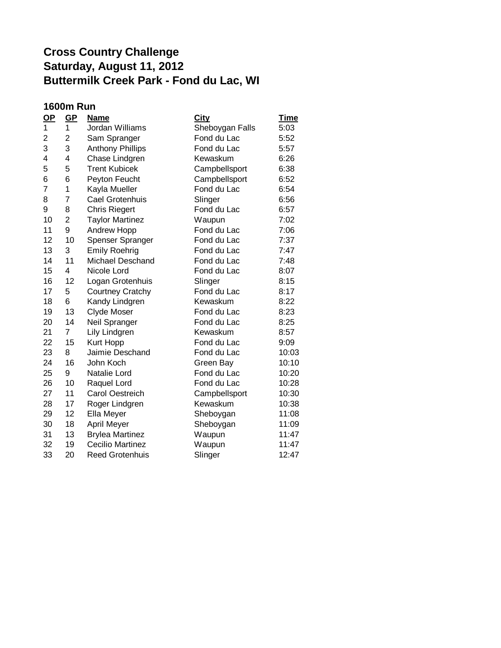### **1600m Run**

| <u>OP</u>      | <u>GP</u>      | <b>Name</b>             | City            | <b>Time</b> |
|----------------|----------------|-------------------------|-----------------|-------------|
| 1              | 1              | Jordan Williams         | Sheboygan Falls | 5:03        |
| 2              | 2              | Sam Spranger            | Fond du Lac     | 5:52        |
| 3              | 3              | <b>Anthony Phillips</b> | Fond du Lac     | 5:57        |
| 4              | $\overline{4}$ | Chase Lindgren          | Kewaskum        | 6:26        |
| 5              | 5              | <b>Trent Kubicek</b>    | Campbellsport   | 6:38        |
| 6              | 6              | Peyton Feucht           | Campbellsport   | 6:52        |
| $\overline{7}$ | 1              | Kayla Mueller           | Fond du Lac     | 6:54        |
| 8              | 7              | Cael Grotenhuis         | Slinger         | 6:56        |
| 9              | 8              | <b>Chris Riegert</b>    | Fond du Lac     | 6:57        |
| 10             | $\overline{2}$ | <b>Taylor Martinez</b>  | Waupun          | 7:02        |
| 11             | 9              | Andrew Hopp             | Fond du Lac     | 7:06        |
| 12             | 10             | Spenser Spranger        | Fond du Lac     | 7:37        |
| 13             | 3              | <b>Emily Roehrig</b>    | Fond du Lac     | 7:47        |
| 14             | 11             | Michael Deschand        | Fond du Lac     | 7:48        |
| 15             | 4              | Nicole Lord             | Fond du Lac     | 8:07        |
| 16             | 12             | Logan Grotenhuis        | Slinger         | 8:15        |
| 17             | 5              | <b>Courtney Cratchy</b> | Fond du Lac     | 8:17        |
| 18             | 6              | Kandy Lindgren          | Kewaskum        | 8:22        |
| 19             | 13             | <b>Clyde Moser</b>      | Fond du Lac     | 8:23        |
| 20             | 14             | Neil Spranger           | Fond du Lac     | 8:25        |
| 21             | $\overline{7}$ | Lily Lindgren           | Kewaskum        | 8:57        |
| 22             | 15             | Kurt Hopp               | Fond du Lac     | 9:09        |
| 23             | 8              | Jaimie Deschand         | Fond du Lac     | 10:03       |
| 24             | 16             | John Koch               | Green Bay       | 10:10       |
| 25             | 9              | Natalie Lord            | Fond du Lac     | 10:20       |
| 26             | 10             | Raquel Lord             | Fond du Lac     | 10:28       |
| 27             | 11             | <b>Carol Oestreich</b>  | Campbellsport   | 10:30       |
| 28             | 17             | Roger Lindgren          | Kewaskum        | 10:38       |
| 29             | 12             | Ella Meyer              | Sheboygan       | 11:08       |
| 30             | 18             | <b>April Meyer</b>      | Sheboygan       | 11:09       |
| 31             | 13             | <b>Brylea Martinez</b>  | Waupun          | 11:47       |
| 32             | 19             | <b>Cecilio Martinez</b> | Waupun          | 11:47       |
| 33             | 20             | <b>Reed Grotenhuis</b>  | Slinger         | 12:47       |
|                |                |                         |                 |             |